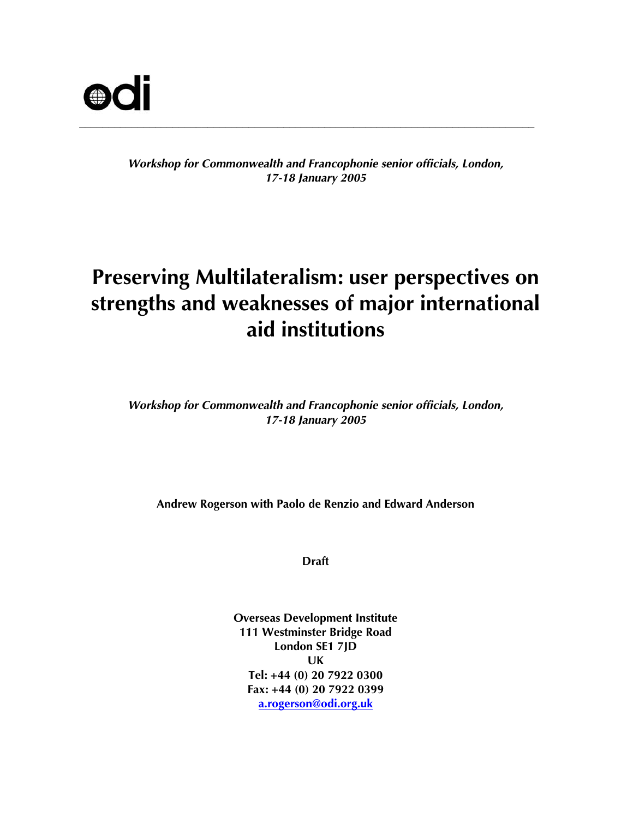

## *Workshop for Commonwealth and Francophonie senior officials, London, 17-18 January 2005*

# **Preserving Multilateralism: user perspectives on strengths and weaknesses of major international aid institutions**

*Workshop for Commonwealth and Francophonie senior officials, London, 17-18 January 2005* 

**Andrew Rogerson with Paolo de Renzio and Edward Anderson** 

**Draft** 

**Overseas Development Institute 111 Westminster Bridge Road London SE1 7JD UK Tel: +44 (0) 20 7922 0300 Fax: +44 (0) 20 7922 0399 a.rogerson@odi.org.uk**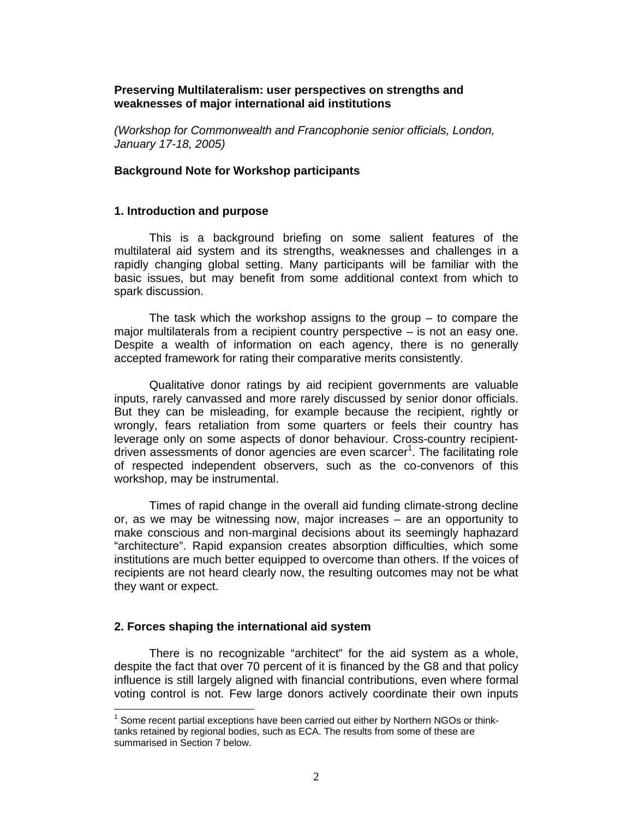## **Preserving Multilateralism: user perspectives on strengths and weaknesses of major international aid institutions**

*(Workshop for Commonwealth and Francophonie senior officials, London, January 17-18, 2005)* 

## **Background Note for Workshop participants**

## **1. Introduction and purpose**

This is a background briefing on some salient features of the multilateral aid system and its strengths, weaknesses and challenges in a rapidly changing global setting. Many participants will be familiar with the basic issues, but may benefit from some additional context from which to spark discussion.

The task which the workshop assigns to the group  $-$  to compare the major multilaterals from a recipient country perspective – is not an easy one. Despite a wealth of information on each agency, there is no generally accepted framework for rating their comparative merits consistently.

 Qualitative donor ratings by aid recipient governments are valuable inputs, rarely canvassed and more rarely discussed by senior donor officials. But they can be misleading, for example because the recipient, rightly or wrongly, fears retaliation from some quarters or feels their country has leverage only on some aspects of donor behaviour. Cross-country recipientdriven assessments of donor agencies are even scarcer<sup>1</sup>. The facilitating role of respected independent observers, such as the co-convenors of this workshop, may be instrumental.

Times of rapid change in the overall aid funding climate-strong decline or, as we may be witnessing now, major increases – are an opportunity to make conscious and non-marginal decisions about its seemingly haphazard "architecture". Rapid expansion creates absorption difficulties, which some institutions are much better equipped to overcome than others. If the voices of recipients are not heard clearly now, the resulting outcomes may not be what they want or expect.

## **2. Forces shaping the international aid system**

 $\overline{a}$ 

There is no recognizable "architect" for the aid system as a whole, despite the fact that over 70 percent of it is financed by the G8 and that policy influence is still largely aligned with financial contributions, even where formal voting control is not. Few large donors actively coordinate their own inputs

 $1$  Some recent partial exceptions have been carried out either by Northern NGOs or thinktanks retained by regional bodies, such as ECA. The results from some of these are summarised in Section 7 below.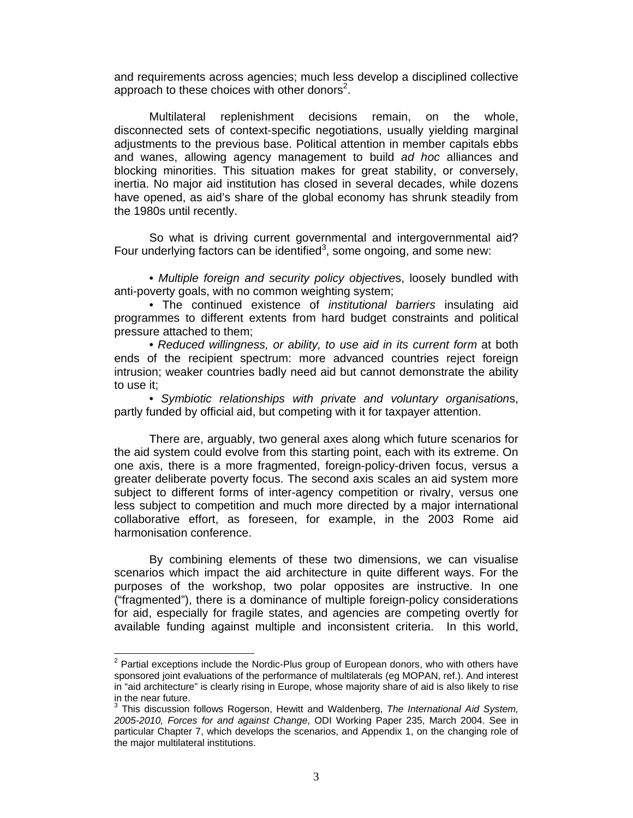and requirements across agencies; much less develop a disciplined collective approach to these choices with other donors<sup>2</sup>.

Multilateral replenishment decisions remain, on the whole, disconnected sets of context-specific negotiations, usually yielding marginal adjustments to the previous base. Political attention in member capitals ebbs and wanes, allowing agency management to build *ad hoc* alliances and blocking minorities. This situation makes for great stability, or conversely, inertia. No major aid institution has closed in several decades, while dozens have opened, as aid's share of the global economy has shrunk steadily from the 1980s until recently.

So what is driving current governmental and intergovernmental aid? Four underlying factors can be identified<sup>3</sup>, some ongoing, and some new:

• *Multiple foreign and security policy objective*s, loosely bundled with anti-poverty goals, with no common weighting system;

• The continued existence of *institutional barriers* insulating aid programmes to different extents from hard budget constraints and political pressure attached to them;

• *Reduced willingness, or ability, to use aid in its current form* at both ends of the recipient spectrum: more advanced countries reject foreign intrusion; weaker countries badly need aid but cannot demonstrate the ability to use it;

• *Symbiotic relationships with private and voluntary organisation*s, partly funded by official aid, but competing with it for taxpayer attention.

There are, arguably, two general axes along which future scenarios for the aid system could evolve from this starting point, each with its extreme. On one axis, there is a more fragmented, foreign-policy-driven focus, versus a greater deliberate poverty focus. The second axis scales an aid system more subject to different forms of inter-agency competition or rivalry, versus one less subject to competition and much more directed by a major international collaborative effort, as foreseen, for example, in the 2003 Rome aid harmonisation conference.

By combining elements of these two dimensions, we can visualise scenarios which impact the aid architecture in quite different ways. For the purposes of the workshop, two polar opposites are instructive. In one ("fragmented"), there is a dominance of multiple foreign-policy considerations for aid, especially for fragile states, and agencies are competing overtly for available funding against multiple and inconsistent criteria. In this world,

 $2$  Partial exceptions include the Nordic-Plus group of European donors, who with others have sponsored joint evaluations of the performance of multilaterals (eg MOPAN, ref.). And interest in "aid architecture" is clearly rising in Europe, whose majority share of aid is also likely to rise in the near future.

<sup>3</sup> This discussion follows Rogerson, Hewitt and Waldenberg, *The International Aid System, 2005-2010, Forces for and against Change*, ODI Working Paper 235, March 2004. See in particular Chapter 7, which develops the scenarios, and Appendix 1, on the changing role of the major multilateral institutions.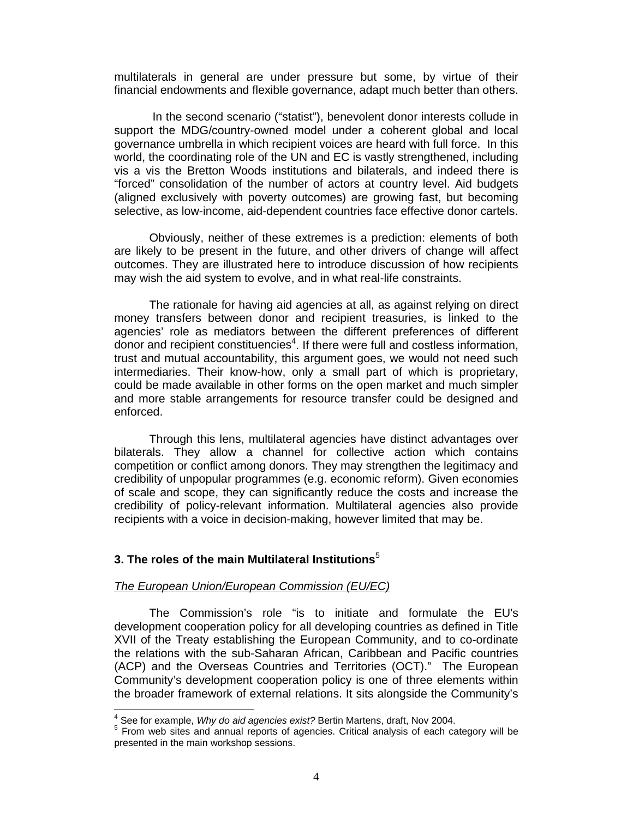multilaterals in general are under pressure but some, by virtue of their financial endowments and flexible governance, adapt much better than others.

 In the second scenario ("statist"), benevolent donor interests collude in support the MDG/country-owned model under a coherent global and local governance umbrella in which recipient voices are heard with full force. In this world, the coordinating role of the UN and EC is vastly strengthened, including vis a vis the Bretton Woods institutions and bilaterals, and indeed there is "forced" consolidation of the number of actors at country level. Aid budgets (aligned exclusively with poverty outcomes) are growing fast, but becoming selective, as low-income, aid-dependent countries face effective donor cartels.

Obviously, neither of these extremes is a prediction: elements of both are likely to be present in the future, and other drivers of change will affect outcomes. They are illustrated here to introduce discussion of how recipients may wish the aid system to evolve, and in what real-life constraints.

The rationale for having aid agencies at all, as against relying on direct money transfers between donor and recipient treasuries, is linked to the agencies' role as mediators between the different preferences of different donor and recipient constituencies<sup>4</sup>. If there were full and costless information, trust and mutual accountability, this argument goes, we would not need such intermediaries. Their know-how, only a small part of which is proprietary, could be made available in other forms on the open market and much simpler and more stable arrangements for resource transfer could be designed and enforced.

Through this lens, multilateral agencies have distinct advantages over bilaterals. They allow a channel for collective action which contains competition or conflict among donors. They may strengthen the legitimacy and credibility of unpopular programmes (e.g. economic reform). Given economies of scale and scope, they can significantly reduce the costs and increase the credibility of policy-relevant information. Multilateral agencies also provide recipients with a voice in decision-making, however limited that may be.

## **3. The roles of the main Multilateral Institutions**<sup>5</sup>

#### *The European Union/European Commission (EU/EC)*

The Commission's role "is to initiate and formulate the EU's development cooperation policy for all developing countries as defined in Title XVII of the Treaty establishing the European Community, and to co-ordinate the relations with the sub-Saharan African, Caribbean and Pacific countries (ACP) and the Overseas Countries and Territories (OCT)." The European Community's development cooperation policy is one of three elements within the broader framework of external relations. It sits alongside the Community's

<sup>4&</sup>lt;br>
<sup>4</sup> See for example, *Why do aid agencies exist?* Bertin Martens, draft, Nov 2004.<br>
<sup>5</sup> Fram web sites and appual reports of agencies. Critical analysis of each ca

From web sites and annual reports of agencies. Critical analysis of each category will be presented in the main workshop sessions.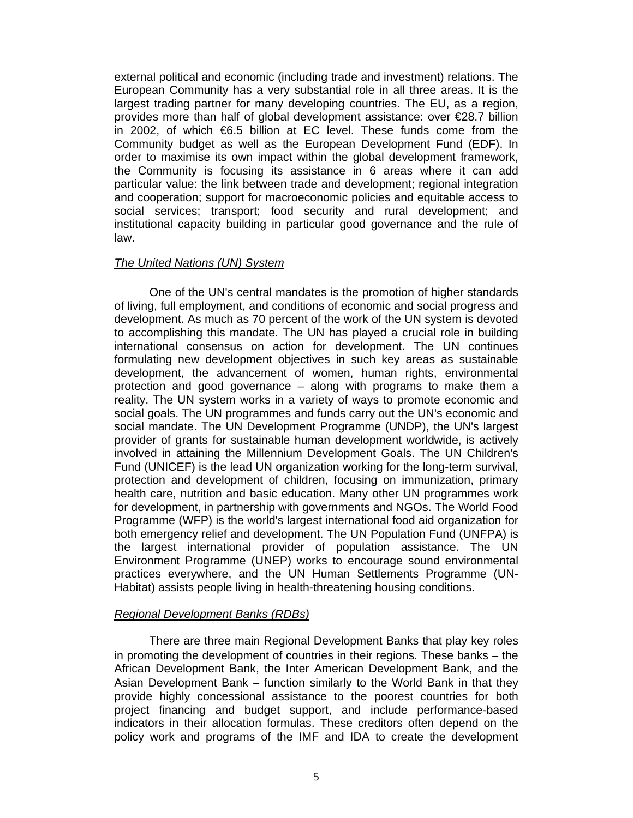external political and economic (including trade and investment) relations. The European Community has a very substantial role in all three areas. It is the largest trading partner for many developing countries. The EU, as a region, provides more than half of global development assistance: over €28.7 billion in 2002, of which €6.5 billion at EC level. These funds come from the Community budget as well as the European Development Fund (EDF). In order to maximise its own impact within the global development framework, the Community is focusing its assistance in 6 areas where it can add particular value: the link between trade and development; regional integration and cooperation; support for macroeconomic policies and equitable access to social services; transport; food security and rural development; and institutional capacity building in particular good governance and the rule of law.

## *The United Nations (UN) System*

One of the UN's central mandates is the promotion of higher standards of living, full employment, and conditions of economic and social progress and development. As much as 70 percent of the work of the UN system is devoted to accomplishing this mandate. The UN has played a crucial role in building international consensus on action for development. The UN continues formulating new development objectives in such key areas as sustainable development, the advancement of women, human rights, environmental protection and good governance – along with programs to make them a reality. The UN system works in a variety of ways to promote economic and social goals. The UN programmes and funds carry out the UN's economic and social mandate. The UN Development Programme (UNDP), the UN's largest provider of grants for sustainable human development worldwide, is actively involved in attaining the Millennium Development Goals. The UN Children's Fund (UNICEF) is the lead UN organization working for the long-term survival, protection and development of children, focusing on immunization, primary health care, nutrition and basic education. Many other UN programmes work for development, in partnership with governments and NGOs. The World Food Programme (WFP) is the world's largest international food aid organization for both emergency relief and development. The UN Population Fund (UNFPA) is the largest international provider of population assistance. The UN Environment Programme (UNEP) works to encourage sound environmental practices everywhere, and the UN Human Settlements Programme (UN-Habitat) assists people living in health-threatening housing conditions.

## *Regional Development Banks (RDBs)*

There are three main Regional Development Banks that play key roles in promoting the development of countries in their regions. These banks − the African Development Bank, the Inter American Development Bank, and the Asian Development Bank – function similarly to the World Bank in that they provide highly concessional assistance to the poorest countries for both project financing and budget support, and include performance-based indicators in their allocation formulas. These creditors often depend on the policy work and programs of the IMF and IDA to create the development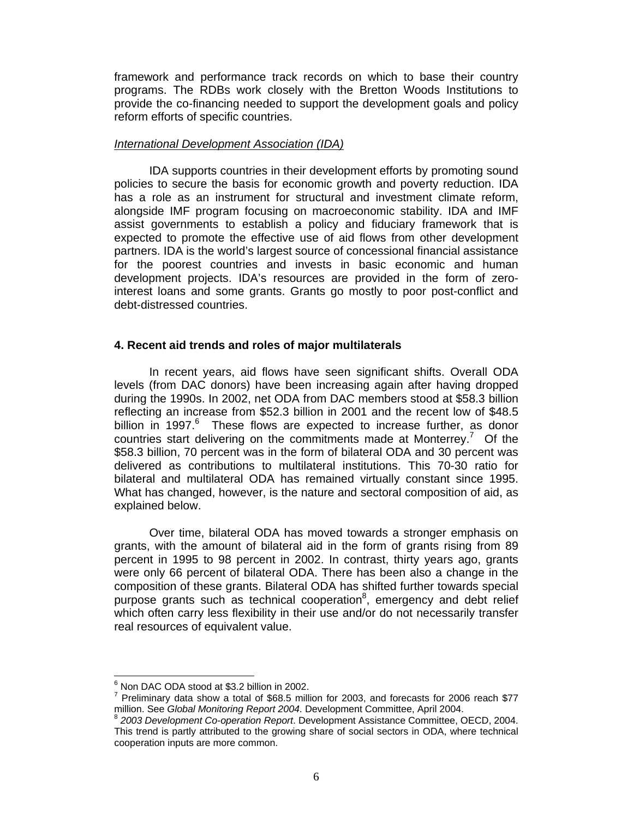framework and performance track records on which to base their country programs. The RDBs work closely with the Bretton Woods Institutions to provide the co-financing needed to support the development goals and policy reform efforts of specific countries.

## *International Development Association (IDA)*

IDA supports countries in their development efforts by promoting sound policies to secure the basis for economic growth and poverty reduction. IDA has a role as an instrument for structural and investment climate reform, alongside IMF program focusing on macroeconomic stability. IDA and IMF assist governments to establish a policy and fiduciary framework that is expected to promote the effective use of aid flows from other development partners. IDA is the world's largest source of concessional financial assistance for the poorest countries and invests in basic economic and human development projects. IDA's resources are provided in the form of zerointerest loans and some grants. Grants go mostly to poor post-conflict and debt-distressed countries.

## **4. Recent aid trends and roles of major multilaterals**

 In recent years, aid flows have seen significant shifts. Overall ODA levels (from DAC donors) have been increasing again after having dropped during the 1990s. In 2002, net ODA from DAC members stood at \$58.3 billion reflecting an increase from \$52.3 billion in 2001 and the recent low of \$48.5 billion in 1997.<sup>6</sup> These flows are expected to increase further, as donor countries start delivering on the commitments made at Monterrey.<sup>7</sup> Of the \$58.3 billion, 70 percent was in the form of bilateral ODA and 30 percent was delivered as contributions to multilateral institutions. This 70-30 ratio for bilateral and multilateral ODA has remained virtually constant since 1995. What has changed, however, is the nature and sectoral composition of aid, as explained below.

 Over time, bilateral ODA has moved towards a stronger emphasis on grants, with the amount of bilateral aid in the form of grants rising from 89 percent in 1995 to 98 percent in 2002. In contrast, thirty years ago, grants were only 66 percent of bilateral ODA. There has been also a change in the composition of these grants. Bilateral ODA has shifted further towards special purpose grants such as technical cooperation $8$ , emergency and debt relief which often carry less flexibility in their use and/or do not necessarily transfer real resources of equivalent value.

 $\overline{a}$ 6 Non DAC ODA stood at \$3.2 billion in 2002.

 $^7$  Preliminary data show a total of \$68.5 million for 2003, and forecasts for 2006 reach \$77

million. See *Global Monitoring Report 2004*. Development Committee, April 2004.<br><sup>8</sup> 2003 Development Co-operation Report. Development Assistance Committee, OECD, 2004. This trend is partly attributed to the growing share of social sectors in ODA, where technical cooperation inputs are more common.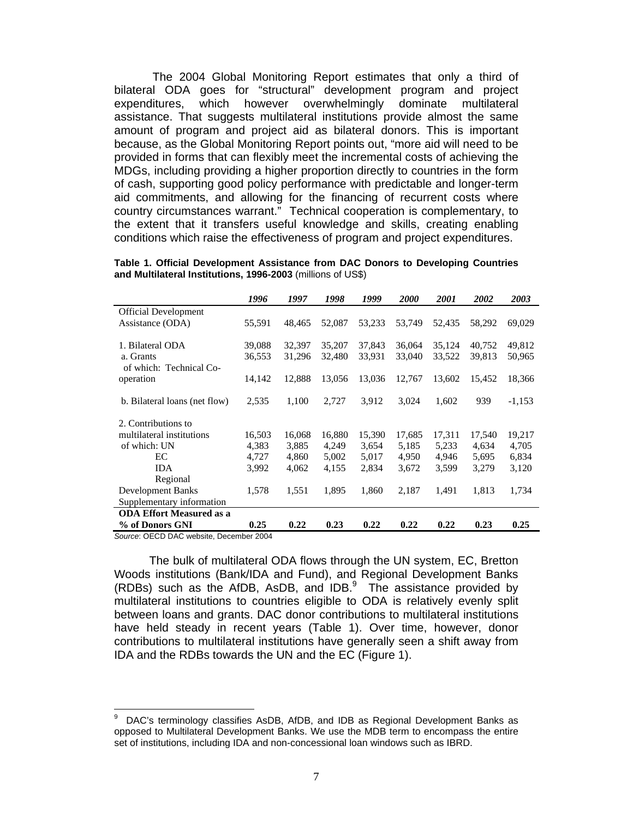The 2004 Global Monitoring Report estimates that only a third of bilateral ODA goes for "structural" development program and project expenditures, which however overwhelmingly dominate multilateral assistance. That suggests multilateral institutions provide almost the same amount of program and project aid as bilateral donors. This is important because, as the Global Monitoring Report points out, "more aid will need to be provided in forms that can flexibly meet the incremental costs of achieving the MDGs, including providing a higher proportion directly to countries in the form of cash, supporting good policy performance with predictable and longer-term aid commitments, and allowing for the financing of recurrent costs where country circumstances warrant." Technical cooperation is complementary, to the extent that it transfers useful knowledge and skills, creating enabling conditions which raise the effectiveness of program and project expenditures.

|                                      | 1996   | 1997   | 1998   | 1999   | <i>2000</i> | <i>2001</i> | 2002   | 2003     |
|--------------------------------------|--------|--------|--------|--------|-------------|-------------|--------|----------|
| <b>Official Development</b>          |        |        |        |        |             |             |        |          |
| Assistance (ODA)                     | 55,591 | 48,465 | 52,087 | 53,233 | 53,749      | 52,435      | 58,292 | 69,029   |
| 1. Bilateral ODA                     | 39,088 | 32,397 | 35,207 | 37,843 | 36,064      | 35,124      | 40,752 | 49,812   |
| a. Grants                            | 36,553 | 31,296 | 32,480 | 33,931 | 33,040      | 33,522      | 39,813 | 50,965   |
| of which: Technical Co-<br>operation | 14,142 | 12,888 | 13,056 | 13,036 | 12,767      | 13,602      | 15,452 | 18,366   |
|                                      |        |        |        |        |             |             |        |          |
| b. Bilateral loans (net flow)        | 2,535  | 1,100  | 2,727  | 3,912  | 3,024       | 1,602       | 939    | $-1,153$ |
| 2. Contributions to                  |        |        |        |        |             |             |        |          |
| multilateral institutions            | 16,503 | 16,068 | 16,880 | 15,390 | 17,685      | 17,311      | 17,540 | 19,217   |
| of which: UN                         | 4,383  | 3,885  | 4,249  | 3,654  | 5,185       | 5,233       | 4,634  | 4,705    |
| EC                                   | 4,727  | 4,860  | 5,002  | 5,017  | 4,950       | 4,946       | 5,695  | 6,834    |
| <b>IDA</b>                           | 3,992  | 4,062  | 4,155  | 2,834  | 3,672       | 3,599       | 3,279  | 3,120    |
| Regional                             |        |        |        |        |             |             |        |          |
| <b>Development Banks</b>             | 1,578  | 1,551  | 1,895  | 1,860  | 2,187       | 1,491       | 1,813  | 1,734    |
| Supplementary information            |        |        |        |        |             |             |        |          |
| <b>ODA Effort Measured as a</b>      |        |        |        |        |             |             |        |          |
| % of Donors GNI                      | 0.25   | 0.22   | 0.23   | 0.22   | 0.22        | 0.22        | 0.23   | 0.25     |

**Table 1. Official Development Assistance from DAC Donors to Developing Countries and Multilateral Institutions, 1996-2003** (millions of US\$)

*Source*: OECD DAC website, December 2004

 $\overline{a}$ 

 The bulk of multilateral ODA flows through the UN system, EC, Bretton Woods institutions (Bank/IDA and Fund), and Regional Development Banks (RDBs) such as the AfDB, AsDB, and  $IDB<sup>9</sup>$  The assistance provided by multilateral institutions to countries eligible to ODA is relatively evenly split between loans and grants. DAC donor contributions to multilateral institutions have held steady in recent years (Table 1). Over time, however, donor contributions to multilateral institutions have generally seen a shift away from IDA and the RDBs towards the UN and the EC (Figure 1).

<sup>9</sup> DAC's terminology classifies AsDB, AfDB, and IDB as Regional Development Banks as opposed to Multilateral Development Banks. We use the MDB term to encompass the entire set of institutions, including IDA and non-concessional loan windows such as IBRD.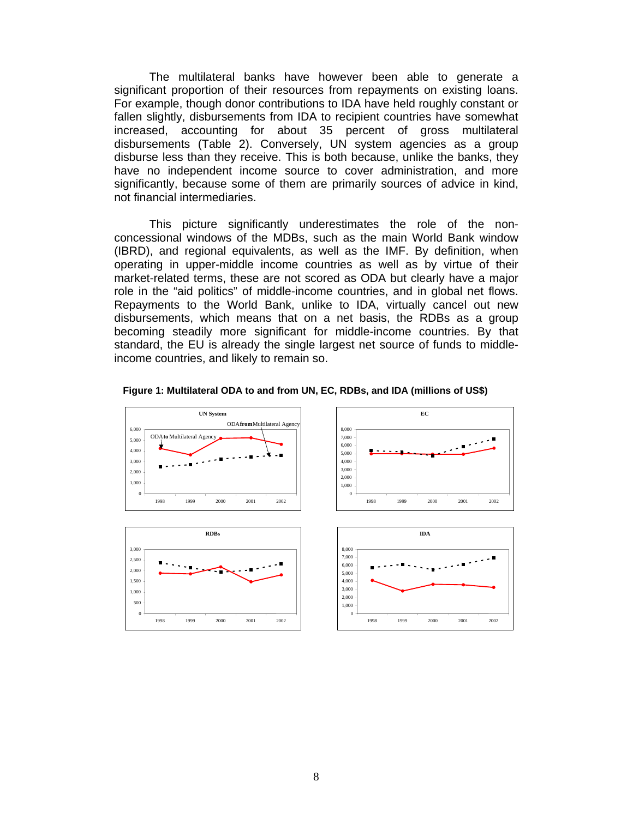The multilateral banks have however been able to generate a significant proportion of their resources from repayments on existing loans. For example, though donor contributions to IDA have held roughly constant or fallen slightly, disbursements from IDA to recipient countries have somewhat increased, accounting for about 35 percent of gross multilateral disbursements (Table 2). Conversely, UN system agencies as a group disburse less than they receive. This is both because, unlike the banks, they have no independent income source to cover administration, and more significantly, because some of them are primarily sources of advice in kind, not financial intermediaries.

This picture significantly underestimates the role of the nonconcessional windows of the MDBs, such as the main World Bank window (IBRD), and regional equivalents, as well as the IMF. By definition, when operating in upper-middle income countries as well as by virtue of their market-related terms, these are not scored as ODA but clearly have a major role in the "aid politics" of middle-income countries, and in global net flows. Repayments to the World Bank, unlike to IDA, virtually cancel out new disbursements, which means that on a net basis, the RDBs as a group becoming steadily more significant for middle-income countries. By that standard, the EU is already the single largest net source of funds to middleincome countries, and likely to remain so.



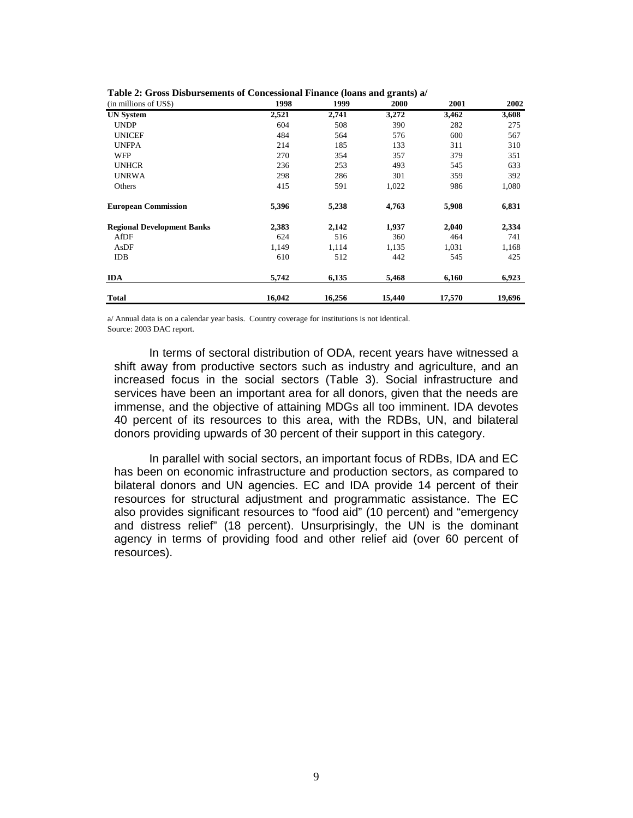| (in millions of US\$)             | 1998   | 1999   | 2000   | 2001   | 2002   |
|-----------------------------------|--------|--------|--------|--------|--------|
| <b>UN System</b>                  | 2,521  | 2,741  | 3,272  | 3,462  | 3,608  |
| <b>UNDP</b>                       | 604    | 508    | 390    | 282    | 275    |
| <b>UNICEF</b>                     | 484    | 564    | 576    | 600    | 567    |
| <b>UNFPA</b>                      | 214    | 185    | 133    | 311    | 310    |
| WFP                               | 270    | 354    | 357    | 379    | 351    |
| <b>UNHCR</b>                      | 236    | 253    | 493    | 545    | 633    |
| <b>UNRWA</b>                      | 298    | 286    | 301    | 359    | 392    |
| Others                            | 415    | 591    | 1,022  | 986    | 1,080  |
| <b>European Commission</b>        | 5,396  | 5,238  | 4,763  | 5,908  | 6,831  |
| <b>Regional Development Banks</b> | 2,383  | 2,142  | 1,937  | 2,040  | 2,334  |
| AfDF                              | 624    | 516    | 360    | 464    | 741    |
| AsDF                              | 1,149  | 1,114  | 1,135  | 1,031  | 1,168  |
| <b>IDB</b>                        | 610    | 512    | 442    | 545    | 425    |
| <b>IDA</b>                        | 5,742  | 6,135  | 5,468  | 6,160  | 6,923  |
| <b>Total</b>                      | 16,042 | 16,256 | 15,440 | 17,570 | 19,696 |

|  | Table 2: Gross Disbursements of Concessional Finance (loans and grants) a/ |  |  |  |  |
|--|----------------------------------------------------------------------------|--|--|--|--|
|--|----------------------------------------------------------------------------|--|--|--|--|

a/ Annual data is on a calendar year basis. Country coverage for institutions is not identical. Source: 2003 DAC report.

 In terms of sectoral distribution of ODA, recent years have witnessed a shift away from productive sectors such as industry and agriculture, and an increased focus in the social sectors (Table 3). Social infrastructure and services have been an important area for all donors, given that the needs are immense, and the objective of attaining MDGs all too imminent. IDA devotes 40 percent of its resources to this area, with the RDBs, UN, and bilateral donors providing upwards of 30 percent of their support in this category.

In parallel with social sectors, an important focus of RDBs, IDA and EC has been on economic infrastructure and production sectors, as compared to bilateral donors and UN agencies. EC and IDA provide 14 percent of their resources for structural adjustment and programmatic assistance. The EC also provides significant resources to "food aid" (10 percent) and "emergency and distress relief" (18 percent). Unsurprisingly, the UN is the dominant agency in terms of providing food and other relief aid (over 60 percent of resources).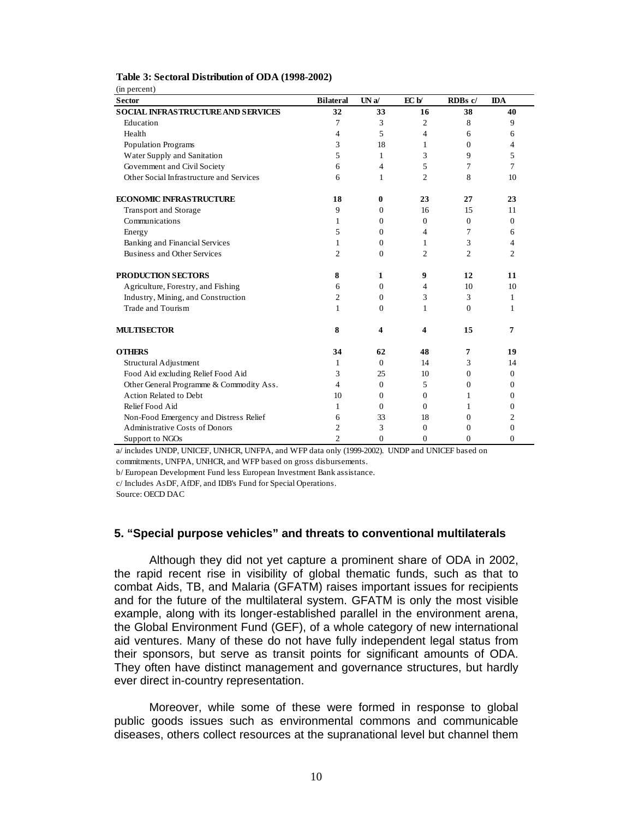| (in percent)                              |                  |                |                |                |              |
|-------------------------------------------|------------------|----------------|----------------|----------------|--------------|
| <b>Sector</b>                             | <b>Bilateral</b> | UNa/           | EC b/          | RDBs c/        | <b>IDA</b>   |
| <b>SOCIAL INFRASTRUCTURE AND SERVICES</b> | 32               | 33             | 16             | 38             | 40           |
| Education                                 | 7                | 3              | 2              | 8              | 9            |
| Health                                    | $\overline{4}$   | 5              | $\overline{4}$ | 6              | 6            |
| Population Programs                       | 3                | 18             | 1              | $\Omega$       | 4            |
| Water Supply and Sanitation               | 5                | $\mathbf{1}$   | 3              | 9              | 5            |
| Government and Civil Society              | 6                | $\overline{4}$ | 5              | 7              | 7            |
| Other Social Infrastructure and Services  | 6                | 1              | $\mathfrak{2}$ | 8              | 10           |
| <b>ECONOMIC INFRASTRUCTURE</b>            | 18               | $\bf{0}$       | 23             | 27             | 23           |
| Transport and Storage                     | 9                | $\mathbf{0}$   | 16             | 15             | 11           |
| Communications                            | 1                | $\mathbf{0}$   | $\overline{0}$ | $\mathbf{0}$   | $\mathbf{0}$ |
| Energy                                    | 5                | $\Omega$       | $\overline{4}$ | $\tau$         | 6            |
| Banking and Financial Services            | 1                | $\Omega$       | 1              | 3              | 4            |
| Business and Other Services               | $\overline{c}$   | $\Omega$       | $\overline{2}$ | $\overline{c}$ | 2            |
| <b>PRODUCTION SECTORS</b>                 | 8                | 1              | 9              | 12             | 11           |
| Agriculture, Forestry, and Fishing        | 6                | $\Omega$       | $\overline{4}$ | 10             | 10           |
| Industry, Mining, and Construction        | $\overline{2}$   | $\Omega$       | 3              | 3              | 1            |
| Trade and Tourism                         | 1                | $\theta$       | 1              | $\theta$       | 1            |
| <b>MULTISECTOR</b>                        | 8                | 4              | 4              | 15             | 7            |
| <b>OTHERS</b>                             | 34               | 62             | 48             | 7              | 19           |
| Structural Adjustment                     | 1                | $\Omega$       | 14             | 3              | 14           |
| Food Aid excluding Relief Food Aid        | 3                | 25             | 10             | $\Omega$       | $\Omega$     |
| Other General Programme & Commodity Ass.  | $\overline{4}$   | $\Omega$       | 5              | $\mathbf{0}$   | $\Omega$     |
| Action Related to Debt                    | 10               | $\Omega$       | $\Omega$       | 1              | $\Omega$     |
| Relief Food Aid                           | $\mathbf{1}$     | $\Omega$       | $\Omega$       | 1              | 0            |
| Non-Food Emergency and Distress Relief    | 6                | 33             | 18             | $\Omega$       | 2            |
| <b>Administrative Costs of Donors</b>     | $\overline{c}$   | 3              | $\Omega$       | $\Omega$       | $\Omega$     |
| Support to NGOs                           | $\overline{c}$   | $\theta$       | $\Omega$       | $\Omega$       | $\Omega$     |

#### **Table 3: Sectoral Distribution of ODA (1998-2002)**

a/ includes UNDP, UNICEF, UNHCR, UNFPA, and WFP data only (1999-2002). UNDP and UNICEF based on

commitments, UNFPA, UNHCR, and WFP based on gross disbursements.

b/ European Development Fund less European Investment Bank assistance.

c/ Includes AsDF, AfDF, and IDB's Fund for Special Operations.

Source: OECD DAC

#### **5. "Special purpose vehicles" and threats to conventional multilaterals**

Although they did not yet capture a prominent share of ODA in 2002, the rapid recent rise in visibility of global thematic funds, such as that to combat Aids, TB, and Malaria (GFATM) raises important issues for recipients and for the future of the multilateral system. GFATM is only the most visible example, along with its longer-established parallel in the environment arena, the Global Environment Fund (GEF), of a whole category of new international aid ventures. Many of these do not have fully independent legal status from their sponsors, but serve as transit points for significant amounts of ODA. They often have distinct management and governance structures, but hardly ever direct in-country representation.

Moreover, while some of these were formed in response to global public goods issues such as environmental commons and communicable diseases, others collect resources at the supranational level but channel them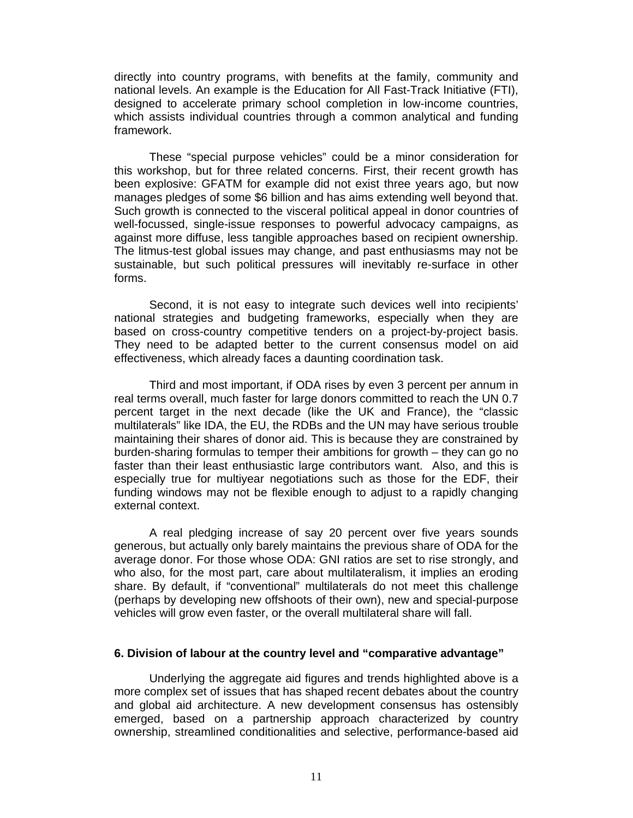directly into country programs, with benefits at the family, community and national levels. An example is the Education for All Fast-Track Initiative (FTI), designed to accelerate primary school completion in low-income countries, which assists individual countries through a common analytical and funding framework.

These "special purpose vehicles" could be a minor consideration for this workshop, but for three related concerns. First, their recent growth has been explosive: GFATM for example did not exist three years ago, but now manages pledges of some \$6 billion and has aims extending well beyond that. Such growth is connected to the visceral political appeal in donor countries of well-focussed, single-issue responses to powerful advocacy campaigns, as against more diffuse, less tangible approaches based on recipient ownership. The litmus-test global issues may change, and past enthusiasms may not be sustainable, but such political pressures will inevitably re-surface in other forms.

Second, it is not easy to integrate such devices well into recipients' national strategies and budgeting frameworks, especially when they are based on cross-country competitive tenders on a project-by-project basis. They need to be adapted better to the current consensus model on aid effectiveness, which already faces a daunting coordination task.

Third and most important, if ODA rises by even 3 percent per annum in real terms overall, much faster for large donors committed to reach the UN 0.7 percent target in the next decade (like the UK and France), the "classic multilaterals" like IDA, the EU, the RDBs and the UN may have serious trouble maintaining their shares of donor aid. This is because they are constrained by burden-sharing formulas to temper their ambitions for growth – they can go no faster than their least enthusiastic large contributors want. Also, and this is especially true for multiyear negotiations such as those for the EDF, their funding windows may not be flexible enough to adjust to a rapidly changing external context.

A real pledging increase of say 20 percent over five years sounds generous, but actually only barely maintains the previous share of ODA for the average donor. For those whose ODA: GNI ratios are set to rise strongly, and who also, for the most part, care about multilateralism, it implies an eroding share. By default, if "conventional" multilaterals do not meet this challenge (perhaps by developing new offshoots of their own), new and special-purpose vehicles will grow even faster, or the overall multilateral share will fall.

## **6. Division of labour at the country level and "comparative advantage"**

Underlying the aggregate aid figures and trends highlighted above is a more complex set of issues that has shaped recent debates about the country and global aid architecture. A new development consensus has ostensibly emerged, based on a partnership approach characterized by country ownership, streamlined conditionalities and selective, performance-based aid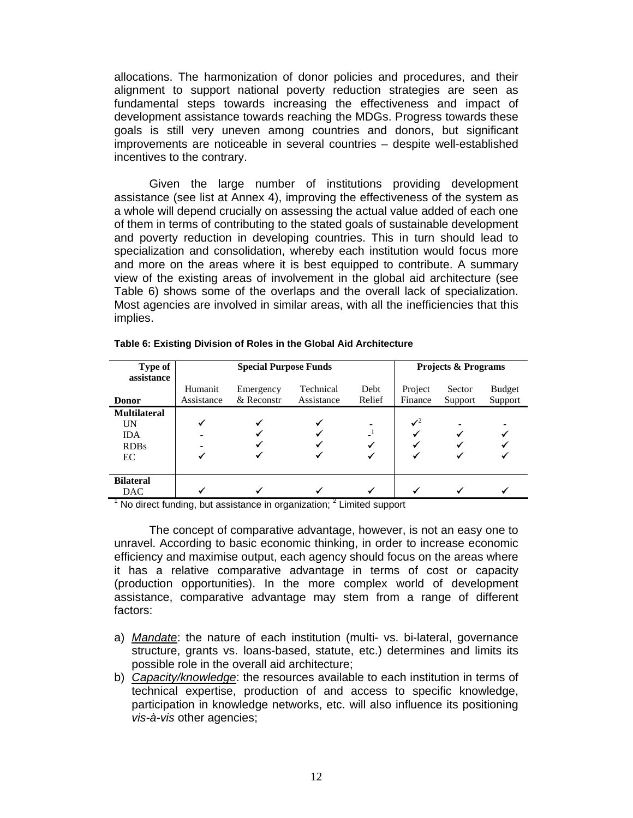allocations. The harmonization of donor policies and procedures, and their alignment to support national poverty reduction strategies are seen as fundamental steps towards increasing the effectiveness and impact of development assistance towards reaching the MDGs. Progress towards these goals is still very uneven among countries and donors, but significant improvements are noticeable in several countries – despite well-established incentives to the contrary.

 Given the large number of institutions providing development assistance (see list at Annex 4), improving the effectiveness of the system as a whole will depend crucially on assessing the actual value added of each one of them in terms of contributing to the stated goals of sustainable development and poverty reduction in developing countries. This in turn should lead to specialization and consolidation, whereby each institution would focus more and more on the areas where it is best equipped to contribute. A summary view of the existing areas of involvement in the global aid architecture (see Table 6) shows some of the overlaps and the overall lack of specialization. Most agencies are involved in similar areas, with all the inefficiencies that this implies.

| Type of             | <b>Special Purpose Funds</b> |                         |            |        | <b>Projects &amp; Programs</b> |                   |                          |  |
|---------------------|------------------------------|-------------------------|------------|--------|--------------------------------|-------------------|--------------------------|--|
| assistance          |                              |                         | Technical  | Debt   |                                |                   |                          |  |
| <b>Donor</b>        | Humanit<br>Assistance        | Emergency<br>& Reconstr | Assistance | Relief | Project<br>Finance             | Sector<br>Support | <b>Budget</b><br>Support |  |
| <b>Multilateral</b> |                              |                         |            |        |                                |                   |                          |  |
| UN                  |                              | ✔                       |            |        | $\mathcal{I}^2$                |                   |                          |  |
| <b>IDA</b>          |                              |                         |            |        |                                |                   |                          |  |
| <b>RDBs</b>         |                              |                         |            |        |                                |                   |                          |  |
| EC                  |                              |                         |            |        |                                |                   |                          |  |
|                     |                              |                         |            |        |                                |                   |                          |  |
| <b>Bilateral</b>    |                              |                         |            |        |                                |                   |                          |  |
| <b>DAC</b>          |                              | w                       |            |        |                                |                   |                          |  |

**Table 6: Existing Division of Roles in the Global Aid Architecture** 

 $1$  No direct funding, but assistance in organization;  $2$  Limited support

The concept of comparative advantage, however, is not an easy one to unravel. According to basic economic thinking, in order to increase economic efficiency and maximise output, each agency should focus on the areas where it has a relative comparative advantage in terms of cost or capacity (production opportunities). In the more complex world of development assistance, comparative advantage may stem from a range of different factors:

- a) *Mandate*: the nature of each institution (multi- vs. bi-lateral, governance structure, grants vs. loans-based, statute, etc.) determines and limits its possible role in the overall aid architecture;
- b) *Capacity/knowledge*: the resources available to each institution in terms of technical expertise, production of and access to specific knowledge, participation in knowledge networks, etc. will also influence its positioning *vis-à-vis* other agencies;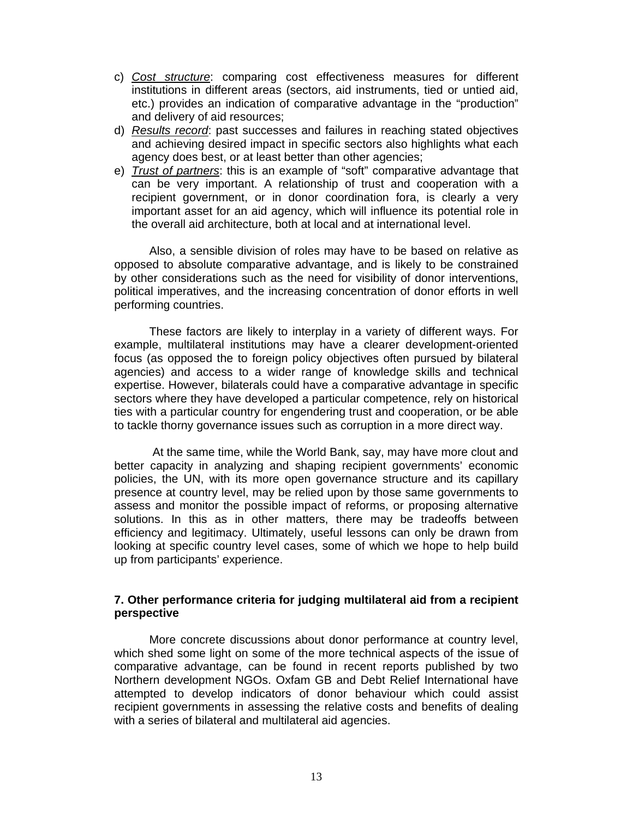- c) *Cost structure*: comparing cost effectiveness measures for different institutions in different areas (sectors, aid instruments, tied or untied aid, etc.) provides an indication of comparative advantage in the "production" and delivery of aid resources;
- d) *Results record*: past successes and failures in reaching stated objectives and achieving desired impact in specific sectors also highlights what each agency does best, or at least better than other agencies;
- e) *Trust of partners*: this is an example of "soft" comparative advantage that can be very important. A relationship of trust and cooperation with a recipient government, or in donor coordination fora, is clearly a very important asset for an aid agency, which will influence its potential role in the overall aid architecture, both at local and at international level.

Also, a sensible division of roles may have to be based on relative as opposed to absolute comparative advantage, and is likely to be constrained by other considerations such as the need for visibility of donor interventions, political imperatives, and the increasing concentration of donor efforts in well performing countries.

These factors are likely to interplay in a variety of different ways. For example, multilateral institutions may have a clearer development-oriented focus (as opposed the to foreign policy objectives often pursued by bilateral agencies) and access to a wider range of knowledge skills and technical expertise. However, bilaterals could have a comparative advantage in specific sectors where they have developed a particular competence, rely on historical ties with a particular country for engendering trust and cooperation, or be able to tackle thorny governance issues such as corruption in a more direct way.

 At the same time, while the World Bank, say, may have more clout and better capacity in analyzing and shaping recipient governments' economic policies, the UN, with its more open governance structure and its capillary presence at country level, may be relied upon by those same governments to assess and monitor the possible impact of reforms, or proposing alternative solutions. In this as in other matters, there may be tradeoffs between efficiency and legitimacy. Ultimately, useful lessons can only be drawn from looking at specific country level cases, some of which we hope to help build up from participants' experience.

## **7. Other performance criteria for judging multilateral aid from a recipient perspective**

More concrete discussions about donor performance at country level, which shed some light on some of the more technical aspects of the issue of comparative advantage, can be found in recent reports published by two Northern development NGOs. Oxfam GB and Debt Relief International have attempted to develop indicators of donor behaviour which could assist recipient governments in assessing the relative costs and benefits of dealing with a series of bilateral and multilateral aid agencies.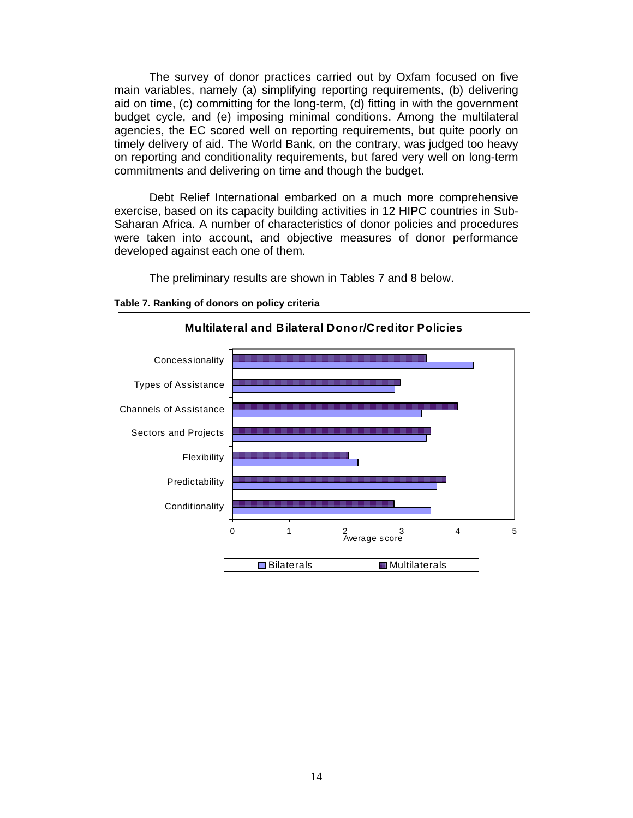The survey of donor practices carried out by Oxfam focused on five main variables, namely (a) simplifying reporting requirements, (b) delivering aid on time, (c) committing for the long-term, (d) fitting in with the government budget cycle, and (e) imposing minimal conditions. Among the multilateral agencies, the EC scored well on reporting requirements, but quite poorly on timely delivery of aid. The World Bank, on the contrary, was judged too heavy on reporting and conditionality requirements, but fared very well on long-term commitments and delivering on time and though the budget.

Debt Relief International embarked on a much more comprehensive exercise, based on its capacity building activities in 12 HIPC countries in Sub-Saharan Africa. A number of characteristics of donor policies and procedures were taken into account, and objective measures of donor performance developed against each one of them.

The preliminary results are shown in Tables 7 and 8 below.



**Table 7. Ranking of donors on policy criteria**